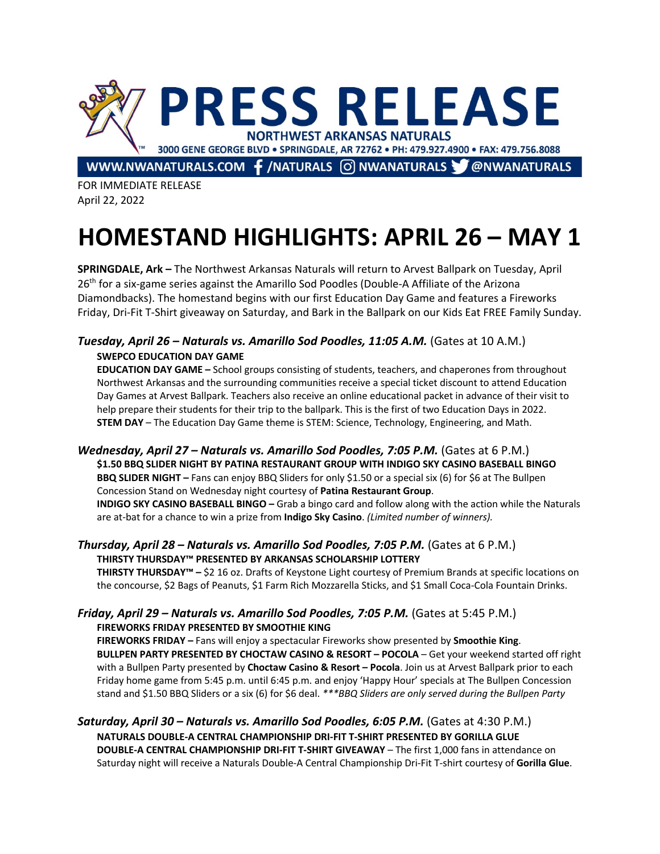

WWW.NWANATURALS.COM  $\mathbf f$ /NATURALS  $\odot$ NWANATURALS  $\mathbf v$  @NWANATURALS

FOR IMMEDIATE RELEASE April 22, 2022

# **HOMESTAND HIGHLIGHTS: APRIL 26 – MAY 1**

**SPRINGDALE, Ark –** The Northwest Arkansas Naturals will return to Arvest Ballpark on Tuesday, April 26<sup>th</sup> for a six-game series against the Amarillo Sod Poodles (Double-A Affiliate of the Arizona Diamondbacks). The homestand begins with our first Education Day Game and features a Fireworks Friday, Dri-Fit T-Shirt giveaway on Saturday, and Bark in the Ballpark on our Kids Eat FREE Family Sunday.

## *Tuesday, April 26 – Naturals vs. Amarillo Sod Poodles, 11:05 A.M.* (Gates at 10 A.M.) **SWEPCO EDUCATION DAY GAME**

**EDUCATION DAY GAME –** School groups consisting of students, teachers, and chaperones from throughout Northwest Arkansas and the surrounding communities receive a special ticket discount to attend Education Day Games at Arvest Ballpark. Teachers also receive an online educational packet in advance of their visit to help prepare their students for their trip to the ballpark. This is the first of two Education Days in 2022. **STEM DAY** – The Education Day Game theme is STEM: Science, Technology, Engineering, and Math.

*Wednesday, April 27 – Naturals vs. Amarillo Sod Poodles, 7:05 P.M.* (Gates at 6 P.M.) **\$1.50 BBQ SLIDER NIGHT BY PATINA RESTAURANT GROUP WITH INDIGO SKY CASINO BASEBALL BINGO BBQ SLIDER NIGHT –** Fans can enjoy BBQ Sliders for only \$1.50 or a special six (6) for \$6 at The Bullpen Concession Stand on Wednesday night courtesy of **Patina Restaurant Group**.

**INDIGO SKY CASINO BASEBALL BINGO –** Grab a bingo card and follow along with the action while the Naturals are at-bat for a chance to win a prize from **Indigo Sky Casino**. *(Limited number of winners).*

### *Thursday, April 28 – Naturals vs. Amarillo Sod Poodles, 7:05 P.M.* (Gates at 6 P.M.) **THIRSTY THURSDAY™ PRESENTED BY ARKANSAS SCHOLARSHIP LOTTERY**

**THIRSTY THURSDAY™ –** \$2 16 oz. Drafts of Keystone Light courtesy of Premium Brands at specific locations on the concourse, \$2 Bags of Peanuts, \$1 Farm Rich Mozzarella Sticks, and \$1 Small Coca-Cola Fountain Drinks.

### *Friday, April 29 – Naturals vs. Amarillo Sod Poodles, 7:05 P.M.* (Gates at 5:45 P.M.) **FIREWORKS FRIDAY PRESENTED BY SMOOTHIE KING**

**FIREWORKS FRIDAY –** Fans will enjoy a spectacular Fireworks show presented by **Smoothie King**. **BULLPEN PARTY PRESENTED BY CHOCTAW CASINO & RESORT – POCOLA** – Get your weekend started off right with a Bullpen Party presented by **Choctaw Casino & Resort – Pocola**. Join us at Arvest Ballpark prior to each Friday home game from 5:45 p.m. until 6:45 p.m. and enjoy 'Happy Hour' specials at The Bullpen Concession stand and \$1.50 BBQ Sliders or a six (6) for \$6 deal. *\*\*\*BBQ Sliders are only served during the Bullpen Party*

#### *Saturday, April 30 – Naturals vs. Amarillo Sod Poodles, 6:05 P.M.* (Gates at 4:30 P.M.) **NATURALS DOUBLE-A CENTRAL CHAMPIONSHIP DRI-FIT T-SHIRT PRESENTED BY GORILLA GLUE DOUBLE-A CENTRAL CHAMPIONSHIP DRI-FIT T-SHIRT GIVEAWAY** – The first 1,000 fans in attendance on Saturday night will receive a Naturals Double-A Central Championship Dri-Fit T-shirt courtesy of **Gorilla Glue**.